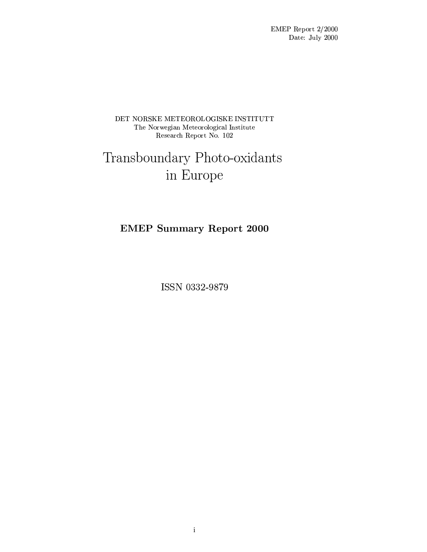EMEP Report 2/2000 Date: July 2000

DET NORSKE METEOROLOGISKE INSTITUTT The Norwegian Meteorological Institute Research Report No. 102

## Transboundary Photo-oxidants in Europe

**EMEP Summary Report 2000** 

ISSN 0332-9879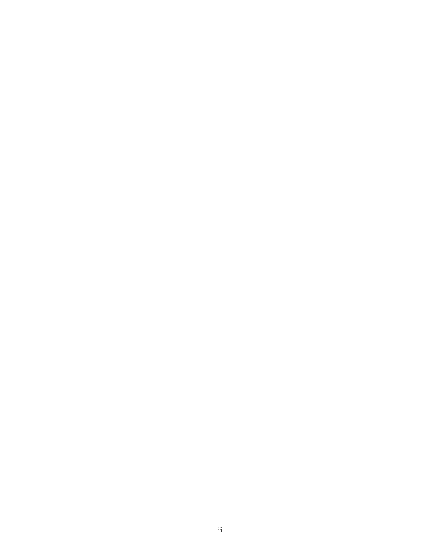$\,$ ii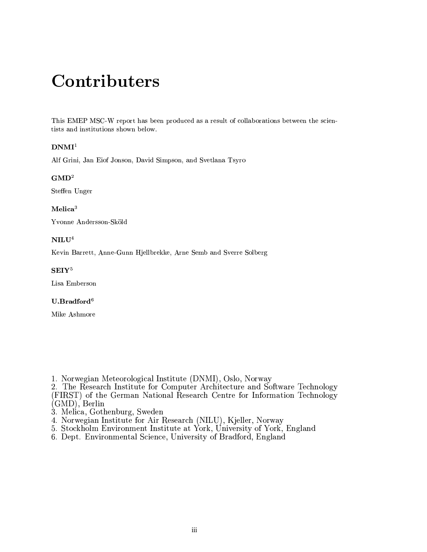## Contributers

This EMEP MSC-W report has been produced as a result of collaborations between the scientists and institutions shown below.

## $DNMI<sup>1</sup>$

Alf Grini, Jan Eiof Jonson, David Simpson, and Svetlana Tsyro

## $GMD<sup>2</sup>$

Steffen Unger

### $Melica<sup>3</sup>$

Yvonne Andersson-Sköld

## $\mathbf{NILU}^4$

Kevin Barrett, Anne-Gunn Hjellbrekke, Arne Semb and Sverre Solberg

## $SEIY<sup>5</sup>$

Lisa Emberson

### $\mathbf{U}.\mathbf{Bradford}^6$

Mike Ashmore

- 3. Melica, Gothenburg, Sweden
- 4. Norwegian Institute for Air Research (NILU), Kjeller, Norway
- 5. Stockholm Environment Institute at York, University of York, England
- 6. Dept. Environmental Science, University of Bradford, England

<sup>1.</sup> Norwegian Meteorological Institute (DNMI), Oslo, Norway

<sup>2.</sup> The Research Institute for Computer Architecture and Software Technology (FIRST) of the German National Research Centre for Information Technology  $(GMD)$ , Berlin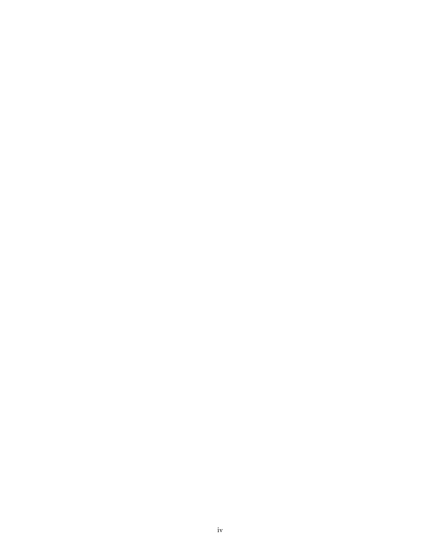$iv$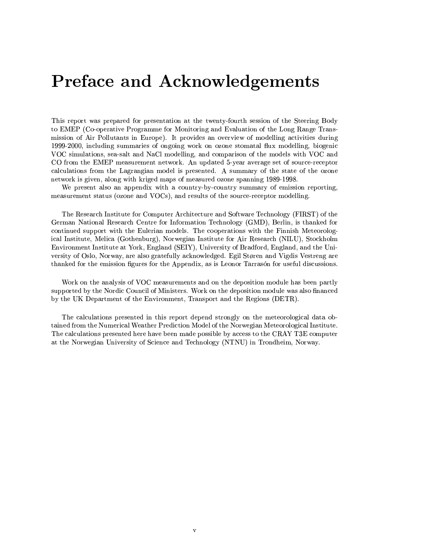## **Preface and Acknowledgements**

This report was prepared for presentation at the twenty-fourth session of the Steering Body to EMEP (Co-operative Programme for Monitoring and Evaluation of the Long Range Transmission of Air Pollutants in Europe). It provides an overview of modelling activities during 1999-2000, including summaries of ongoing work on ozone stomatal flux modelling, biogenic VOC simulations, sea-salt and NaCl modelling, and comparison of the models with VOC and CO from the EMEP measurement network. An updated 5-year average set of source-receptor calculations from the Lagrangian model is presented. A summary of the state of the ozone network is given, along with kriged maps of measured ozone spanning 1989-1998.

We present also an appendix with a country-by-country summary of emission reporting, measurement status (ozone and VOCs), and results of the source-receptor modelling.

The Research Institute for Computer Architecture and Software Technology (FIRST) of the German National Research Centre for Information Technology (GMD), Berlin, is thanked for continued support with the Eulerian models. The cooperations with the Finnish Meteorological Institute, Melica (Gothenburg), Norwegian Institute for Air Research (NILU), Stockholm Environment Institute at York, England (SEIY), University of Bradford, England, and the University of Oslo, Norway, are also gratefully acknowledged. Egil Støren and Vigdis Vestreng are thanked for the emission figures for the Appendix, as is Leonor Tarrasón for useful discussions.

Work on the analysis of VOC measurements and on the deposition module has been partly supported by the Nordic Council of Ministers. Work on the deposition module was also financed by the UK Department of the Environment, Transport and the Regions (DETR).

The calculations presented in this report depend strongly on the meteorological data obtained from the Numerical Weather Prediction Model of the Norwegian Meteorological Institute. The calculations presented here have been made possible by access to the CRAY T3E computer at the Norwegian University of Science and Technology (NTNU) in Trondheim, Norway.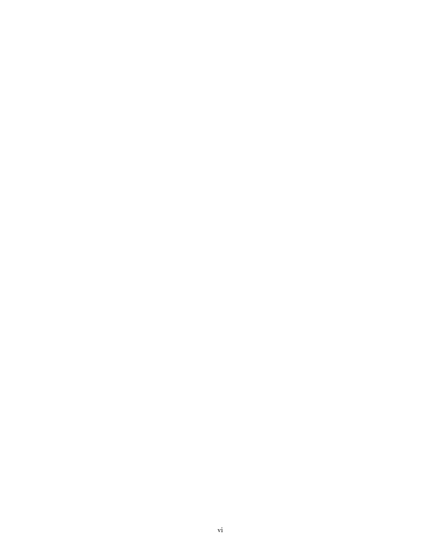$\overline{vi}$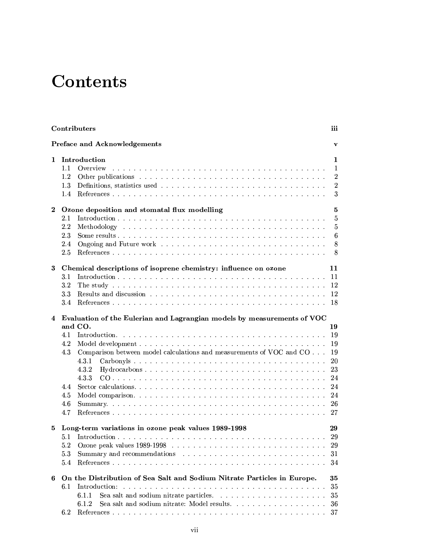# Contents

| Contributers<br>iii |                                                                                                                                                                                                                                                        |                                                                         |  |  |
|---------------------|--------------------------------------------------------------------------------------------------------------------------------------------------------------------------------------------------------------------------------------------------------|-------------------------------------------------------------------------|--|--|
|                     | Preface and Acknowledgements                                                                                                                                                                                                                           | V                                                                       |  |  |
| $\mathbf{1}$        | Introduction<br>Overview<br>1.1<br>1.2<br>$1.3\,$<br>1.4                                                                                                                                                                                               | $\mathbf{1}$<br>$\mathbf{1}$<br>$\overline{2}$<br>$\boldsymbol{2}$<br>3 |  |  |
| $\bf{2}$            | Ozone deposition and stomatal flux modelling<br>$2.1\,$<br>2.2<br>2.3<br>2.4<br>2.5                                                                                                                                                                    | $\overline{5}$<br>5<br>$\overline{5}$<br>$6\phantom{.0}$<br>8<br>8      |  |  |
| 3                   | Chemical descriptions of isoprene chemistry: influence on ozone<br>$3.1\,$<br>3.2<br>3.3<br>3.4                                                                                                                                                        | 11<br>-11                                                               |  |  |
| 4                   | Evaluation of the Eulerian and Lagrangian models by measurements of VOC<br>and CO.<br>4.1<br>4.2<br>Comparison between model calculations and measurements of VOC and CO<br>4.3<br>4.3.1<br>Hydrocarbons<br>4.3.2<br>4.3.3<br>4.4<br>4.5<br>4.6<br>4.7 | 19<br>19<br>19<br>19<br>20<br>23<br>-27                                 |  |  |
| 5                   | Long-term variations in ozone peak values 1989-1998<br>5.2<br>5.3<br>$5.4\,$                                                                                                                                                                           | 29<br>29<br>29<br>31<br>34                                              |  |  |
| 6                   | On the Distribution of Sea Salt and Sodium Nitrate Particles in Europe.<br>Introduction:<br>$6.1\,$<br>6.1.1<br>6.1.2                                                                                                                                  | 35<br>35<br>35<br>36                                                    |  |  |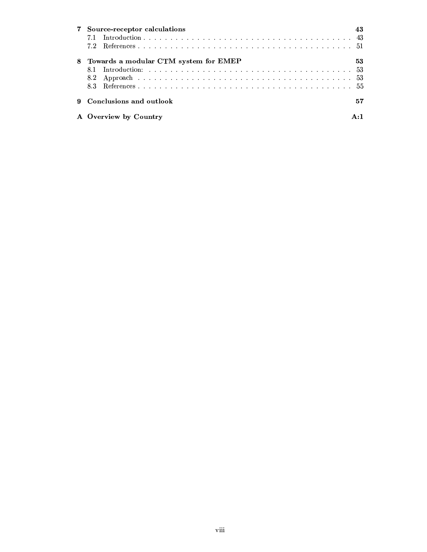| 7 Source-receptor calculations          | 43               |
|-----------------------------------------|------------------|
|                                         |                  |
| 7.2                                     |                  |
| 8 Towards a modular CTM system for EMEP | 53.              |
|                                         |                  |
|                                         |                  |
|                                         |                  |
| 9 Conclusions and outlook               | 57               |
| A Overview by Country                   | $\Delta \cdot 1$ |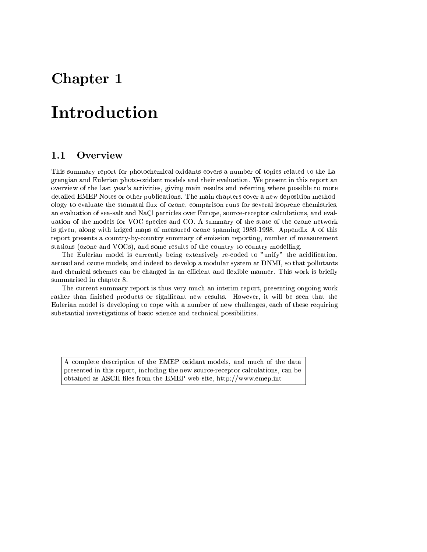## Chapter 1

## Introduction

#### $1.1$ Overview

This summary report for photochemical oxidants covers a number of topics related to the Lagrangian and Eulerian photo-oxidant models and their evaluation. We present in this report an overview of the last year's activities, giving main results and referring where possible to more detailed EMEP Notes or other publications. The main chapters cover a new deposition methodology to evaluate the stomatal flux of ozone, comparison runs for several isoprene chemistries, an evaluation of sea-salt and NaCl particles over Europe, source-receptor calculations, and evaluation of the models for VOC species and CO. A summary of the state of the ozone network is given, along with kriged maps of measured ozone spanning 1989-1998. Appendix A of this report presents a country-by-country summary of emission reporting, number of measurement stations (ozone and VOCs), and some results of the country-to-country modelling.

The Eulerian model is currently being extensively re-coded to "unify" the acidification, aerosol and ozone models, and indeed to develop a modular system at DNMI, so that pollutants and chemical schemes can be changed in an efficient and flexible manner. This work is briefly summarised in chapter 8.

The current summary report is thus very much an interim report, presenting ongoing work rather than finished products or significant new results. However, it will be seen that the Eulerian model is developing to cope with a number of new challenges, each of these requiring substantial investigations of basic science and technical possibilities.

A complete description of the EMEP oxidant models, and much of the data presented in this report, including the new source-receptor calculations, can be obtained as ASCII files from the EMEP web-site, http://www.emep.int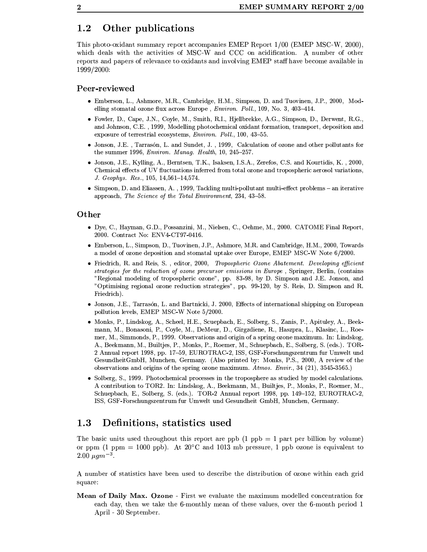#### $1.2$ Other publications

This photo-oxidant summary report accompanies EMEP Report 1/00 (EMEP MSC-W, 2000), which deals with the activities of MSC-W and CCC on acidification. A number of other reports and papers of relevance to oxidants and involving EMEP staff have become available in 1999/2000:

### Peer-reviewed

- Emberson, L., Ashmore, M.R., Cambridge, H.M., Simpson, D. and Tuovinen, J.P., 2000, Modelling stomatal ozone flux across Europe, Environ. Poll., 109, No. 3, 403-414.
- · Fowler, D., Cape, J.N., Coyle, M., Smith, R.I., Hjellbrekke, A.G., Simpson, D., Derwent, R.G., and Johnson, C.E., 1999, Modelling photochemical oxidant formation, transport, deposition and exposure of terrestrial ecosystems, Environ. Poll., 100, 43-55.
- Jonson, J.E., Tarrasón, L. and Sundet, J., 1999, Calculation of ozone and other pollutants for the summer 1996, Environ. Manag. Health, 10, 245-257.
- Jonson, J.E., Kylling, A., Berntsen, T.K., Isaksen, I.S.A., Zerefos, C.S. and Kourtidis, K., 2000, Chemical effects of UV fluctuations inferred from total ozone and tropospheric aerosol variations, J. Geophys. Res., 105, 14,561-14,574.
- Simpson, D. and Eliassen, A., 1999, Tackling multi-pollutant multi-effect problems an iterative approach, The Science of the Total Environment, 234, 43-58.

### Other

- Dye, C., Hayman, G.D., Possanzini, M., Nielsen, C., Oehme, M., 2000. CATOME Final Report, 2000. Contract No: ENV4-CT97-0416.
- Emberson, L., Simpson, D., Tuovinen, J.P., Ashmore, M.R. and Cambridge, H.M., 2000, Towards a model of ozone deposition and stomatal uptake over Europe, EMEP MSC-W Note 6/2000.
- Friedrich, R. and Reis, S., editor, 2000, Tropospheric Ozone Abatement. Developing efficient strategies for the reduction of ozone precursor emissions in Europe, Springer, Berlin, (contains "Regional modeling of tropospheric ozone", pp. 83-98, by D. Simpson and J.E. Jonson, and "Optimising regional ozone reduction strategies", pp. 99-120, by S. Reis, D. Simpson and R. Friedrich).
- Jonson, J.E., Tarrasón, L. and Bartnicki, J. 2000, Effects of international shipping on European pollution levels, EMEP MSC-W Note 5/2000.
- Monks, P., Lindskog, A., Scheel, H.E., Scuepbach, E., Solberg, S., Zanis, P., Apituley, A., Beekmann, M., Bonasoni, P., Coyle, M., DeMeur, D., Girgzdiene, R., Haszpra, L., Klasinc, L., Roemer, M., Simmonds, P., 1999. Observations and origin of a spring ozone maximum. In: Lindskog, A., Beekmann, M., Builtjes, P., Monks, P., Roemer, M., Schuepbach, E., Solberg, S. (eds.). TOR-2 Annual report 1998, pp. 17-59, EUROTRAC-2, ISS, GSF-Forschungszentrum fur Umwelt und GesundheitGmbH, Munchen, Germany. (Also printed by: Monks, P.S., 2000, A review of the observations and origins of the spring ozone maximum. Atmos. Envir., 34 (21), 3545-3565.)
- Solberg, S., 1999. Photochemical processes in the troposphere as studied by model calculations. A contribution to TOR2. In: Lindskog, A., Beekmann, M., Builtjes, P., Monks, P., Roemer, M., Schuepbach, E., Solberg, S. (eds.). TOR-2 Annual report 1998, pp. 149-152, EUROTRAC-2, ISS, GSF-Forschungszentrum fur Umwelt und Gesundheit GmbH, Munchen, Germany.

#### $1.3$ Definitions, statistics used

The basic units used throughout this report are ppb  $(1 \text{ ppb} = 1 \text{ part})$  per billion by volume) or ppm (1 ppm = 1000 ppb). At 20 $\degree$ C and 1013 mb pressure, 1 ppb ozone is equivalent to  $2.00 \ \mu gm^{-3}$ .

A number of statistics have been used to describe the distribution of ozone within each grid square:

**Mean of Daily Max. Ozone** - First we evaluate the maximum modelled concentration for each day, then we take the 6-monthly mean of these values, over the 6-month period 1 April - 30 September.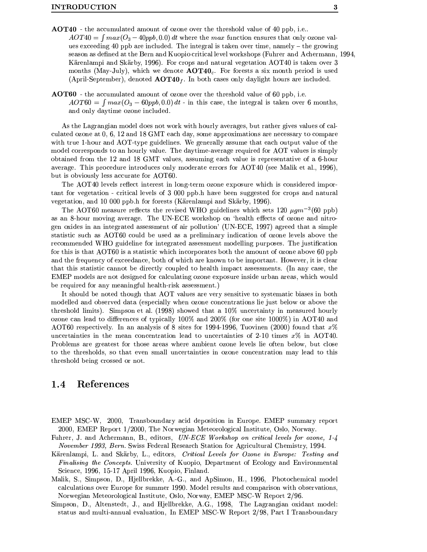- **AOT40** the accumulated amount of ozone over the threshold value of 40 ppb, i.e.  $AOT40 = \int max(O_3 - 40ppb, 0.0) dt$  where the max function ensures that only ozone values exceeding 40 ppb are included. The integral is taken over time, namely – the growing season as defined at the Bern and Kuopio critical level workshops (Fuhrer and Achermann, 1994, Kärenlampi and Skärby, 1996). For crops and natural vegetation AOT40 is taken over 3 months (May-July), which we denote  $\mathbf{A}\mathbf{O}\mathbf{T}\mathbf{40}_c$ . For forests a six month period is used (April-September), denoted  $\mathbf{AOT40}_f$ . In both cases only daylight hours are included.
- AOT60 the accumulated amount of ozone over the threshold value of 60 ppb, i.e.  $AOT60 = \int max(O_3 - 60ppb, 0.0) dt$  - in this case, the integral is taken over 6 months, and only daytime ozone included.

As the Lagrangian model does not work with hourly averages, but rather gives values of calculated ozone at 0, 6, 12 and 18 GMT each day, some approximations are necessary to compare with true 1-hour and AOT-type guidelines. We generally assume that each output value of the model corresponds to an hourly value. The daytime-average required for AOT values is simply obtained from the 12 and 18 GMT values, assuming each value is representative of a 6-hour average. This procedure introduces only moderate errors for AOT40 (see Malik et al., 1996), but is obviously less accurate for AOT60.

The AOT40 levels reflect interest in long-term ozone exposure which is considered important for vegetation - critical levels of 3 000 ppb.h have been suggested for crops and natural vegetation, and 10 000 ppb.h for forests (Kärenlampi and Skärby, 1996).

The AOT60 measure reflects the revised WHO guidelines which sets 120  $\mu g m^{-3}$  (60 ppb) as an 8-hour moving average. The UN-ECE workshop on 'health effects of ozone and nitrogen oxides in an integrated assessment of air pollution' (UN-ECE, 1997) agreed that a simple statistic such as AOT60 could be used as a preliminary indication of ozone levels above the recommended WHO guideline for integrated assessment modelling purposes. The justification for this is that AOT60 is a statistic which incorporates both the amount of ozone above 60 ppb and the frequency of exceedance, both of which are known to be important. However, it is clear that this statistic cannot be directly coupled to health impact assessments. (In any case, the EMEP models are not designed for calculating ozone exposure inside urban areas, which would be required for any meaningful health-risk assessment.)

It should be noted though that AOT values are very sensitive to systematic biases in both modelled and observed data (especially when ozone concentrations lie just below or above the threshold limits). Simpson et al.  $(1998)$  showed that a 10% uncertainty in measured hourly ozone can lead to differences of typically 100% and 200% (for one site 1000%) in AOT40 and AOT60 respectively. In an analysis of 8 sites for 1994-1996, Tuovinen (2000) found that  $x\%$ uncertainties in the mean concentration lead to uncertainties of 2-10 times  $x\%$  in AOT40. Problems are greatest for those areas where ambient ozone levels lie often below, but close to the thresholds, so that even small uncertainties in ozone concentration may lead to this threshold being crossed or not.

#### References  $1.4\,$

- EMEP MSC-W, 2000, Transboundary acid deposition in Europe. EMEP summary report 2000, EMEP Report 1/2000, The Norwegian Meteorological Institute, Oslo, Norway.
- Fuhrer, J. and Achermann, B., editors, UN-ECE Workshop on critical levels for ozone, 1-4 November 1993, Bern. Swiss Federal Research Station for Agricultural Chemistry, 1994.
- Kärenlampi, L. and Skärby, L., editors, Critical Levels for Ozone in Europe: Testing and Finalising the Concepts. University of Kuopio, Department of Ecology and Environmental Science, 1996, 15-17 April 1996, Kuopio, Finland.
- Malik, S., Simpson, D., Hjellbrekke, A.-G., and ApSimon, H., 1996, Photochemical model calculations over Europe for summer 1990. Model results and comparison with observations, Norwegian Meteorological Institute, Oslo, Norway, EMEP MSC-W Report 2/96.
- Simpson, D., Altenstedt, J., and Hjellbrekke, A.G., 1998, The Lagrangian oxidant model: status and multi-annual evaluation, In EMEP MSC-W Report 2/98, Part I Transboundary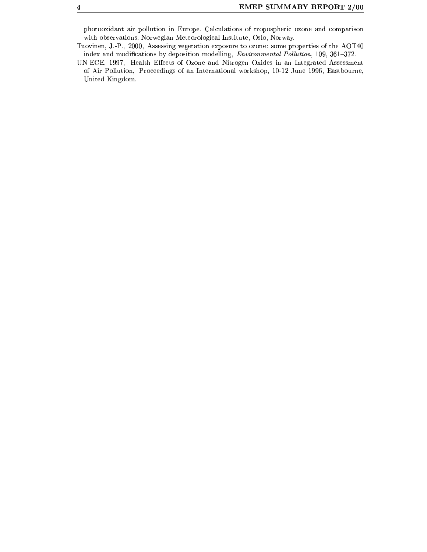photooxidant air pollution in Europe. Calculations of tropospheric ozone and comparison with observations. Norwegian Meteorological Institute, Oslo, Norway.

- Tuovinen, J.-P., 2000, Assessing vegetation exposure to ozone: some properties of the AOT40 index and modifications by deposition modelling, *Environmental Pollution*, 109, 361-372.
- UN-ECE, 1997, Health Effects of Ozone and Nitrogen Oxides in an Integrated Assessment of Air Pollution, Proceedings of an International workshop, 10-12 June 1996, Eastbourne, United Kingdom.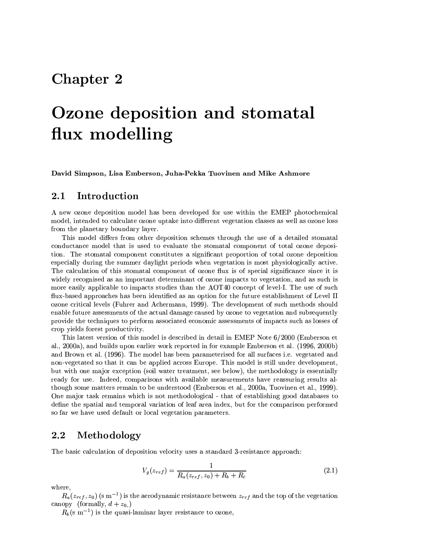## Chapter 2

# Ozone deposition and stomatal flux modelling

David Simpson, Lisa Emberson, Juha-Pekka Tuovinen and Mike Ashmore

#### $2.1$ Introduction

A new ozone deposition model has been developed for use within the EMEP photochemical model, intended to calculate ozone uptake into different vegetation classes as well as ozone loss from the planetary boundary layer.

This model differs from other deposition schemes through the use of a detailed stomatal conductance model that is used to evaluate the stomatal component of total ozone deposition. The stomatal component constitutes a significant proportion of total ozone deposition especially during the summer daylight periods when vegetation is most physiologically active. The calculation of this stomatal component of ozone flux is of special significance since it is widely recognised as an important determinant of ozone impacts to vegetation, and as such is more easily applicable to impacts studies than the AOT40 concept of level-I. The use of such flux-based approaches has been identified as an option for the future establishment of Level II ozone critical levels (Fuhrer and Achermann, 1999). The development of such methods should enable future assessments of the actual damage caused by ozone to vegetation and subsequently provide the techniques to perform associated economic assessments of impacts such as losses of crop yields forest productivity.

This latest version of this model is described in detail in EMEP Note 6/2000 (Emberson et al., 2000a), and builds upon earlier work reported in for example Emberson et al. (1996, 2000b) and Brown et al. (1996). The model has been parameterised for all surfaces i.e. vegetated and non-vegetated so that it can be applied across Europe. This model is still under development, but with one major exception (soil water treatment, see below), the methodology is essentially ready for use. Indeed, comparisons with available measurements have reassuring results although some matters remain to be understood (Emberson et al., 2000a, Tuovinen et al., 1999). One major task remains which is not methodological - that of establishing good databases to define the spatial and temporal variation of leaf area index, but for the comparison performed so far we have used default or local vegetation parameters.

#### $2.2$ Methodology

The basic calculation of deposition velocity uses a standard 3-resistance approach:

$$
V_g(z_{ref}) = \frac{1}{R_a(z_{ref}, z_0) + R_b + R_c}
$$
\n(2.1)

where

 $R_a(z_{ref}, z_0)$  (s m<sup>-1</sup>) is the aerodynamic resistance between  $z_{ref}$  and the top of the vegetation canopy (formally,  $d + z_0$ )

 $R_b$ (s m<sup>-1</sup>) is the quasi-laminar layer resistance to ozone,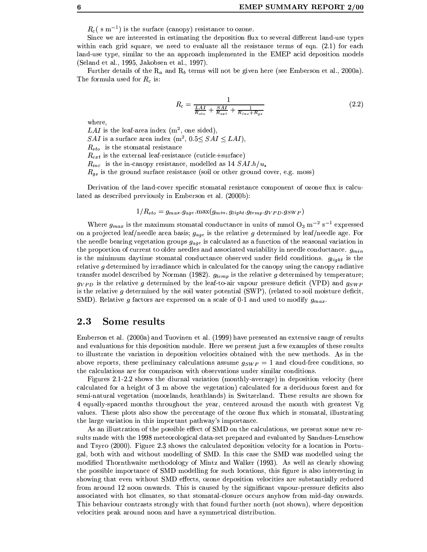$R_c$ (s m<sup>-1</sup>) is the surface (canopy) resistance to ozone.

Since we are interested in estimating the deposition flux to several different land-use types within each grid square, we need to evaluate all the resistance terms of eqn.  $(2.1)$  for each land-use type, similar to the an approach implemented in the EMEP acid deposition models (Seland et al., 1995, Jakobsen et al., 1997).

Further details of the  $R_a$  and  $R_b$  terms will not be given here (see Emberson et al., 2000a). The formula used for  $R_c$  is:

$$
R_c = \frac{1}{\frac{LAI}{R_{sto}} + \frac{SAI}{R_{ext}} + \frac{1}{R_{inc} + R_{gs}}}
$$
\n
$$
\tag{2.2}
$$

where,

LAI is the leaf-area index  $(m^2,$  one sided),

SAI is a surface area index  $(m^2, 0.5 \leq SAI \leq LAI)$ .

 $R_{sto}$  is the stomatal resistance

 $R_{ext}$  is the external leaf-resistance (cuticle+surface)

 $R_{inc}$  is the in-canopy resistance, modelled as 14  $SAI.h/u_*$ 

 $R_{gs}$  is the ground surface resistance (soil or other ground cover, e.g. moss)

Derivation of the land-cover specific stomatal resistance component of ozone flux is calculated as described previously in Emberson et al. (2000b):

## $1/R_{sto} = g_{max}.g_{age}. \max(g_{min}, g_{light}.g_{temp}.g_{VPD}.g_{SWP})$

Where  $g_{max}$  is the maximum stomatal conductance in units of mmol O<sub>3</sub> m<sup>-2</sup> s<sup>-1</sup> expressed on a projected leaf/needle area basis;  $g_{age}$  is the relative g determined by leaf/needle age. For the needle bearing vegetation groups  $g_{age}$  is calculated as a function of the seasonal variation in the proportion of current to older needles and associated variability in needle conductance.  $g_{min}$ is the minimum daytime stomatal conductance observed under field conditions.  $g_{light}$  is the relative  $g$  determined by irradiance which is calculated for the canopy using the canopy radiative transfer model described by Norman (1982).  $g_{temp}$  is the relative g determined by temperature;  $g_{VPD}$  is the relative g determined by the leaf-to-air vapour pressure deficit (VPD) and  $g_{SWP}$ is the relative g determined by the soil water potential  $(SWP)$ , (related to soil moisture deficit, SMD). Relative g factors are expressed on a scale of 0-1 and used to modify  $g_{max}$ .

#### 2.3 Some results

Emberson et al. (2000a) and Tuovinen et al. (1999) have presented an extensive range of results and evaluations for this deposition module. Here we present just a few examples of these results to illustrate the variation in deposition velocities obtained with the new methods. As in the above reports, these preliminary calculations assume  $g_{SWP} = 1$  and cloud-free conditions, so the calculations are for comparison with observations under similar conditions.

Figures 2.1-2.2 shows the diurnal variation (monthly-average) in deposition velocity (here calculated for a height of 3 m above the vegetation) calculated for a deciduous forest and for semi-natural vegetation (moorlands, heathlands) in Switzerland. These results are shown for 4 equally-spaced months throughout the year, centered around the month with greatest Vg values. These plots also show the percentage of the ozone flux which is stomatal, illustrating the large variation in this important pathway's importance.

As an illustration of the possible effect of SMD on the calculations, we present some new results made with the 1998 meteorological data-set prepared and evaluated by Sandnes-Lenschow and Tsyro (2000). Figure 2.3 shows the calculated deposition velocity for a location in Portugal, both with and without modelling of SMD. In this case the SMD was modelled using the modified Thornthwaite methodology of Mintz and Walker (1993). As well as clearly showing the possible importance of SMD modelling for such locations, this figure is also interesting in showing that even without SMD effects, ozone deposition velocities are substantially reduced from around 12 noon onwards. This is caused by the significant vapour-pressure deficits also associated with hot climates, so that stomatal-closure occurs anyhow from mid-day onwards. This behaviour contrasts strongly with that found further north (not shown), where deposition velocities peak around noon and have a symmetrical distribution.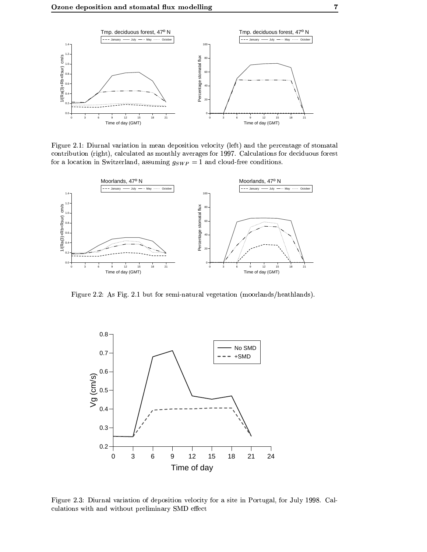

Figure 2.1: Diurnal variation in mean deposition velocity (left) and the percentage of stomatal contribution (right), calculated as monthly averages for 1997. Calculations for deciduous forest for a location in Switzerland, assuming  $g_{SWP} = 1$  and cloud-free conditions.



Figure 2.2: As Fig. 2.1 but for semi-natural vegetation (moorlands/heathlands).



Figure 2.3: Diurnal variation of deposition velocity for a site in Portugal, for July 1998. Calculations with and without preliminary SMD effect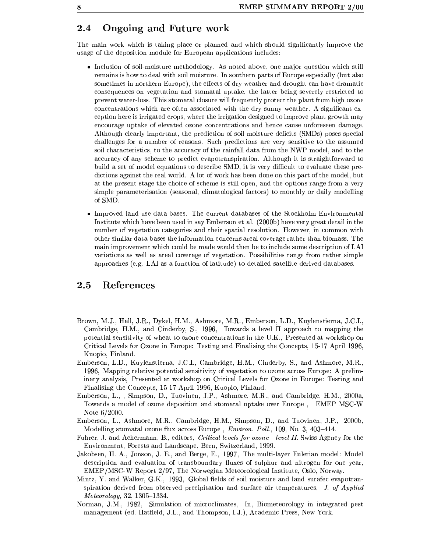#### 2.4 **Ongoing and Future work**

The main work which is taking place or planned and which should significantly improve the usage of the deposition module for European applications includes:

- Inclusion of soil-moisture methodology. As noted above, one major question which still remains is how to deal with soil moisture. In southern parts of Europe especially (but also sometimes in northern Europe), the effects of dry weather and drought can have dramatic consequences on vegetation and stomatal uptake, the latter being severely restricted to prevent water-loss. This stomatal closure will frequently protect the plant from high ozone concentrations which are often associated with the dry sunny weather. A significant exception here is irrigated crops, where the irrigation designed to improve plant growth may encourage uptake of elevated ozone concentrations and hence cause unforeseen damage. Although clearly important, the prediction of soil moisture deficits (SMDs) poses special challenges for a number of reasons. Such predictions are very sensitive to the assumed soil characteristics, to the accuracy of the rainfall data from the NWP model, and to the accuracy of any scheme to predict evapotranspiration. Although it is straightforward to build a set of model equations to describe SMD, it is very difficult to evaluate these predictions against the real world. A lot of work has been done on this part of the model, but at the present stage the choice of scheme is still open, and the options range from a very simple parameterisation (seasonal, climatological factors) to monthly or daily modelling of SMD.
- Improved land-use data-bases. The current databases of the Stockholm Environmental Institute which have been used in say Emberson et al. (2000b) have very great detail in the number of vegetation categories and their spatial resolution. However, in common with other similar data-bases the information concerns areal coverage rather than biomass. The main improvement which could be made would then be to include some description of LAI variations as well as areal coverage of vegetation. Possibilities range from rather simple approaches (e.g. LAI as a function of latitude) to detailed satellite-derived databases.

#### 2.5 References

- Brown, M.J., Hall, J.R., Dykel, H.M., Ashmore, M.R., Emberson, L.D., Kuylenstierna, J.C.I., Cambridge, H.M., and Cinderby, S., 1996, Towards a level II approach to mapping the potential sensitivity of wheat to ozone concentrations in the U.K., Presented at workshop on Critical Levels for Ozone in Europe: Testing and Finalising the Concepts, 15-17 April 1996, Kuopio, Finland.
- Emberson, L.D., Kuylenstierna, J.C.I., Cambridge, H.M., Cinderby, S., and Ashmore, M.R., 1996, Mapping relative potential sensitivity of vegetation to ozone across Europe: A preliminary analysis, Presented at workshop on Critical Levels for Ozone in Europe: Testing and Finalising the Concepts, 15-17 April 1996, Kuopio, Finland.
- Emberson, L., , Simpson, D., Tuovinen, J.P., Ashmore, M.R., and Cambridge, H.M., 2000a. Towards a model of ozone deposition and stomatal uptake over Europe, EMEP MSC-W Note 6/2000.
- Emberson, L., Ashmore, M.R., Cambridge, H.M., Simpson, D., and Tuovinen, J.P., 2000b, Modelling stomatal ozone flux across Europe, *Environ. Poll.*, 109, No. 3, 403-414.
- Fuhrer, J. and Achermann, B., editors, Critical levels for ozone level II. Swiss Agency for the Environment, Forests and Landscape, Bern, Switzerland, 1999.
- Jakobsen, H. A., Jonson, J. E., and Berge, E., 1997, The multi-layer Eulerian model: Model description and evaluation of transboundary fluxes of sulphur and nitrogen for one year, EMEP/MSC-W Report 2/97, The Norwegian Meteorological Institute, Oslo, Norway.
- Mintz, Y. and Walker, G.K., 1993, Global fields of soil moisture and land surafec evapotranspiration derived from observed precipitation and surface air temperatures, J. of Applied  $Meteorology, 32, 1305-1334.$
- Norman, J.M., 1982, Simulation of microclimates, In, Biometeorology in integrated pest management (ed. Hatfield, J.L., and Thompson, I.J.), Academic Press, New York.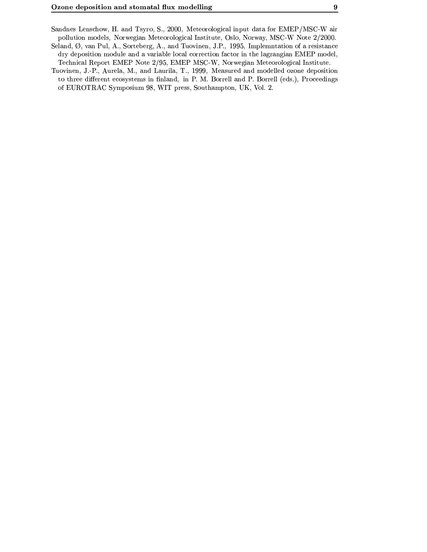- Sandnes Lenschow, H. and Tsyro, S., 2000, Meteorological input data for EMEP/MSC-W air pollution models, Norwegian Meteorological Institute, Oslo, Norway, MSC-W Note 2/2000. Seland, Ø, van Pul, A., Sorteberg, A., and Tuovinen, J.P., 1995, Implemntation of a resistance
- dry deposition module and a variable local correction factor in the lagrangian EMEP model, Technical Report EMEP Note 2/95, EMEP MSC-W, Norwegian Meteorological Institute.
- Tuovinen, J.-P., Aurela, M., and Laurila, T., 1999, Measured and modelled ozone deposition to three different ecosystems in finland, in P. M. Borrell and P. Borrell (eds.), Proceedings of EUROTRAC Symposium 98, WIT press, Southampton, UK, Vol. 2.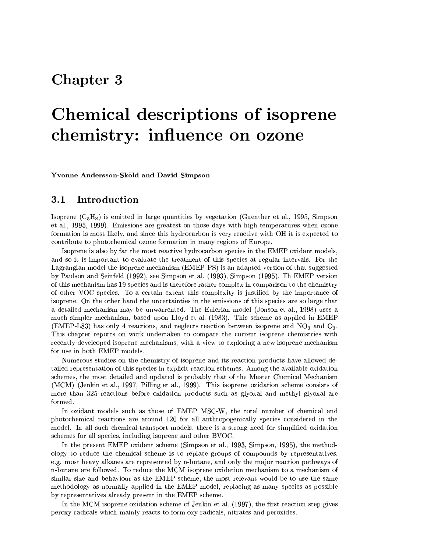## Chapter 3

# Chemical descriptions of isoprene chemistry: influence on ozone

Yvonne Andersson-Sköld and David Simpson

#### Introduction  $3.1$

Isoprene  $(C_5H_8)$  is emitted in large quantities by vegetation (Guenther et al., 1995, Simpson et al., 1995, 1999). Emissions are greatest on those days with high temperatures when ozone formation is most likely, and since this hydrocarbon is very reactive with OH it is expected to contribute to photochemical ozone formation in many regions of Europe.

Isoprene is also by far the most reactive hydrocarbon species in the EMEP oxidant models, and so it is important to evaluate the treatment of this species at regular intervals. For the Lagrangian model the isoprene mechanism (EMEP-PS) is an adapted version of that suggested by Paulson and Seinfeld (1992), see Simpson et al. (1993), Simpson (1995). The EMEP version of this mechanism has 19 species and is therefore rather complex in comparison to the chemistry of other VOC species. To a certain extent this complexity is justified by the importance of isoprene. On the other hand the uncertainties in the emissions of this species are so large that a detailed mechanism may be unwarrented. The Eulerian model (Jonson et al., 1998) uses a much simpler mechanism, based upon Lloyd et al. (1983). This scheme as applied in EMEP (EMEP-L83) has only 4 reactions, and neglects reaction between isoprene and  $NO<sub>3</sub>$  and  $O<sub>3</sub>$ . This chapter reports on work undertaken to compare the current isoprene chemistries with recently developed isoprene mechanisms, with a view to exploring a new isoprene mechanism for use in both EMEP models.

Numerous studies on the chemistry of isoprene and its reaction products have allowed detailed representation of this species in explicit reaction schemes. Among the available oxidation schemes, the most detailed and updated is probably that of the Master Chemical Mechanism (MCM) (Jenkin et al., 1997, Pilling et al., 1999). This isoprene oxidation scheme consists of more than 325 reactions before oxidation products such as glyoxal and methyl glyoxal are formed.

In oxidant models such as those of EMEP MSC-W, the total number of chemical and photochemical reactions are around 120 for all anthropogenically species considered in the model. In all such chemical-transport models, there is a strong need for simplified oxidation schemes for all species, including isoprene and other BVOC.

In the present EMEP oxidant scheme (Simpson et al., 1993, Simpson, 1995), the methodology to reduce the chemical scheme is to replace groups of compounds by representatives, e.g. most heavy alkanes are represented by n-butane, and only the major reaction pathways of n-butane are followed. To reduce the MCM isoprene oxidation mechanism to a mechanism of similar size and behaviour as the EMEP scheme, the most relevant would be to use the same methodology as normally applied in the EMEP model, replacing as many species as possible by representatives already present in the EMEP scheme.

In the MCM isoprene oxidation scheme of Jenkin et al. (1997), the first reaction step gives peroxy radicals which mainly reacts to form oxy radicals, nitrates and peroxides.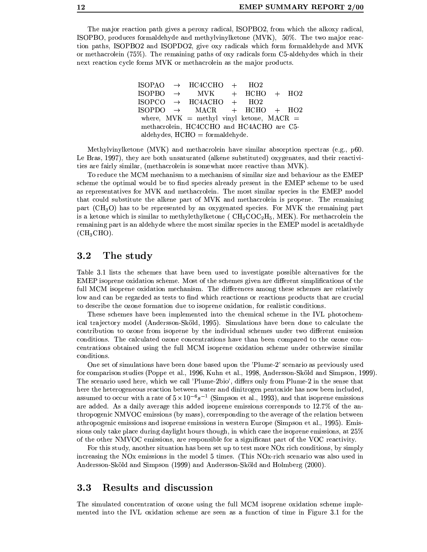The major reaction path gives a peroxy radical, ISOPBO2, from which the alkoxy radical. ISOPBO, produces formaldehyde and methylvinylketone (MVK), 50%. The two major reaction paths, ISOPBO2 and ISOPDO2, give oxy radicals which form formaldehyde and MVK or methacrolein  $(75\%)$ . The remaining paths of oxy radicals form C5-aldehydes which in their next reaction cycle forms MVK or methacrolein as the major products.

|  | $\text{ISOPAO} \rightarrow \text{HC4CCHO} + \text{HO2}$            |  |  |
|--|--------------------------------------------------------------------|--|--|
|  | $\text{ISOPBO} \rightarrow \text{MVK} + \text{HCHO} + \text{HO2}$  |  |  |
|  | $\text{ISOPCO} \rightarrow \text{HC4ACHO} + \text{HO2}$            |  |  |
|  | $\text{ISOPDO} \rightarrow \text{MACR} + \text{HCHO} + \text{HO2}$ |  |  |
|  | where, $MVK = \text{methyl}$ vinyl ketone, $MACR =$                |  |  |
|  | methacrolein, HC4CCHO and HC4ACHO are C5-                          |  |  |
|  | aldehydes, $HCHO = formuladehyde$ .                                |  |  |

Methylvinylketone (MVK) and methacrolein have similar absorption spectras (e.g., p60. Le Bras, 1997), they are both unsaturated (alkene substituted) oxygenates, and their reactivities are fairly similar, (methacrolein is somewhat more reactive than MVK).

To reduce the MCM mechanism to a mechanism of similar size and behaviour as the EMEP scheme the optimal would be to find species already present in the EMEP scheme to be used as representatives for MVK and methacrolein. The most similar species in the EMEP model that could substitute the alkene part of MVK and methacrolein is propene. The remaining part ( $CH<sub>3</sub>O$ ) has to be represented by an oxygenated species. For MVK the remaining part is a ketone which is similar to methylethylketone ( $CH_3COC_2H_5$ , MEK). For methacrolein the remaining part is an aldehyde where the most similar species in the EMEP model is acetaldhyde  $(CH_3CHO)$ .

#### $3.2$ The study

Table 3.1 lists the schemes that have been used to investigate possible alternatives for the EMEP isoprene oxidation scheme. Most of the schemes given are different simplifications of the full MCM isoprene oxidation mechanism. The differences among these schemes are relatively low and can be regarded as tests to find which reactions or reactions products that are crucial to describe the ozone formation due to isoprene oxidation, for realistic conditions.

These schemes have been implemented into the chemical scheme in the IVL photochemical trajectory model (Andersson-Sköld, 1995). Simulations have been done to calculate the contribution to ozone from isoprene by the individual schemes under two different emission conditions. The calculated ozone concentrations have than been compared to the ozone concentrations obtained using the full MCM isoprene oxidation scheme under otherwise similar conditions.

One set of simulations have been done based upon the 'Plume-2' scenario as previously used for comparison studies (Poppe et al., 1996, Kuhn et al., 1998, Andersson-Sköld and Simpson, 1999). The scenario used here, which we call 'Plume-2bio', differs only from Plume-2 in the sense that here the heterogeneous reaction between water and dinitrogen pentoxide has now been included, assumed to occur with a rate of  $5 \times 10^{-6} s^{-1}$  (Simpson et al., 1993), and that isoprene emissions are added. As a daily average this added isoprene emissions corresponds to 12.7% of the anthropogenic NMVOC emissions (by mass), corresponding to the average of the relation between athropogenic emissions and isoprene emissions in western Europe (Simpson et al., 1995). Emissions only take place during daylight hours though, in which case the isoprene emissions, at 25% of the other NMVOC emissions, are responsible for a significant part of the VOC reactivity.

For this study, another situation has been set up to test more NOx rich conditions, by simply increasing the NOx emissions in the model 5 times. (This NOx-rich scenario was also used in Andersson-Sköld and Simpson (1999) and Andersson-Sköld and Holmberg (2000).

#### **Results and discussion**  $3.3$

The simulated concentration of ozone using the full MCM isoprene oxidation scheme implemented into the IVL oxidation scheme are seen as a function of time in Figure 3.1 for the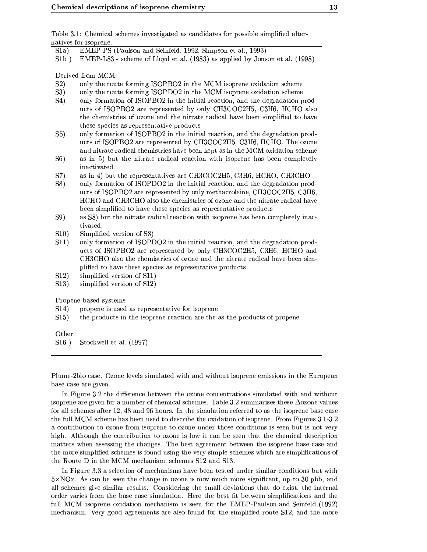Table 3.1: Chemical schemes investigated as candidates for possible simplified alternatives for isoprene.

- $S1a)$ EMEP-PS (Paulson and Seinfeld, 1992, Simpson et al., 1993)
- $S1b$ ) EMEP-L83 - scheme of Lloyd et al. (1983) as applied by Jonson et al. (1998)

Derived from MCM

- S<sub>2</sub>) only the route forming ISOPBO2 in the MCM isoprene oxidation scheme
- $S3)$ only the route forming ISOPDO2 in the MCM isoprene oxidation scheme
- S4) only formation of ISOPBO2 in the initial reaction, and the degradation products of ISOPBO2 are represented by only CH3COC2H5, C3H6, HCHO also the chemistries of ozone and the nitrate radical have been simplified to have these species as representative products
- $S5)$ only formation of ISOPBO2 in the initial reaction, and the degradation products of ISOPBO2 are represented by CH3COC2H5, C3H6, HCHO. The ozone and nitrate radical chemistries have been kept as in the MCM oxidation scheme
- $S6)$ as in 5) but the nitrate radical reaction with isoprene has been completely inactivated.
- S7) as in 4) but the representatives are CH3COC2H5, C3H6, HCHO, CH3CHO
- S8) only formation of ISOPDO2 in the initial reaction, and the degradation products of ISOPBO2 are represented by only methacroleine, CH3COC2H5, C3H6, HCHO and CH3CHO also the chemistries of ozone and the nitrate radical have been simplified to have these species as representative products
- S9) as S8) but the nitrate radical reaction with isoprene has been completely inactivated.
- S<sub>10</sub>) Simplified version of S8)
- $S<sub>11</sub>$ only formation of ISOPDO2 in the initial reaction, and the degradation products of ISOPBO2 are represented by only CH3COC2H5, C3H6, HCHO and CH3CHO also the chemistries of ozone and the nitrate radical have been simplified to have these species as representative products
- $S12)$ simplified version of S11)
- $S13)$ simplified version of S12)

Propene-based systems

- S<sub>14</sub>) propene is used as representative for isoprene
- $S15)$ the products in the isoprene reaction are the as the products of propene

Other

 $S16$ ) Stockwell et al. (1997)

Plume-2bio case. Ozone levels simulated with and without isoprene emissions in the European base case are given.

In Figure 3.2 the difference between the ozone concentrations simulated with and without isoprene are given for a number of chemical schemes. Table 3.2 summarises these  $\Delta$ ozone values for all schemes after 12, 48 and 96 hours. In the simulation referred to as the isoprene base case the full MCM scheme has been used to describe the oxidation of isoprene. From Figures 3.1-3.2 a contribution to ozone from isoprene to ozone under those conditions is seen but is not very high. Although the contribution to ozone is low it can be seen that the chemical description matters when assessing the changes. The best agreement between the isoprene base case and the more simplified schemes is found using the very simple schemes which are simplifications of the Route D in the MCM mechanism, schemes S12 and S13.

In Figure 3.3 a selection of mechanisms have been tested under similar conditions but with  $5 \times$ NOx. As can be seen the change in ozone is now much more significant, up to 30 pbb, and all schemes give similar results. Considering the small deviations that do exist, the internal order varies from the base case simulation. Here the best fit between simplifications and the full MCM isoprene oxidation mechanism is seen for the EMEP-Paulson and Seinfeld (1992) mechanism. Very good agreements are also found for the simplified route S12, and the more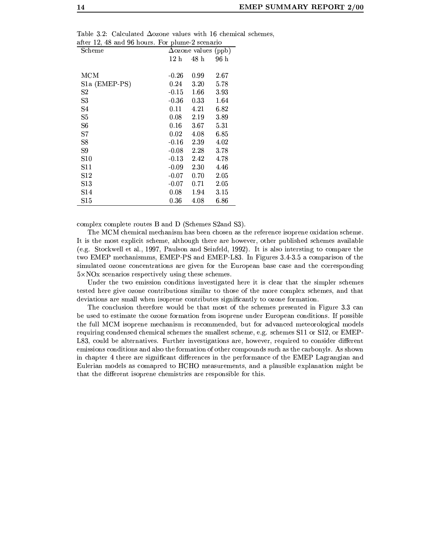| $\alpha$ 1001 - 12, 10 $\alpha$ 110 00 1100110, 101 |                             | <b>Promote</b> Province |      |  |  |  |
|-----------------------------------------------------|-----------------------------|-------------------------|------|--|--|--|
| Scheme                                              | $\Delta$ ozone values (ppb) |                         |      |  |  |  |
|                                                     | 12 <sub>h</sub>             | 48 h                    | 96 h |  |  |  |
|                                                     |                             |                         |      |  |  |  |
| MСМ                                                 | $-0.26$                     | 0.99                    | 2.67 |  |  |  |
| S1a (EMEP-PS)                                       | $0.24\,$                    | $3.20\,$                | 5.78 |  |  |  |
| S2                                                  | $-0.15$                     | $1.66\,$                | 3.93 |  |  |  |
| S3                                                  | $-0.36$                     | 0.33                    | 1.64 |  |  |  |
| S4                                                  | $0.11\,$                    | 4.21                    | 6.82 |  |  |  |
| S5                                                  | 0.08                        | 2.19                    | 3.89 |  |  |  |
| S <sub>6</sub>                                      | 0.16                        | 3.67                    | 5.31 |  |  |  |
| S7                                                  | 0.02                        | 4.08                    | 6.85 |  |  |  |
| S8                                                  | $-0.16$                     | 2.39                    | 4.02 |  |  |  |
| S <sub>9</sub>                                      | $-0.08$                     | 2.28                    | 3.78 |  |  |  |
| S10                                                 | $-0.13$                     | 2.42                    | 4.78 |  |  |  |
| S11                                                 | $-0.09$                     | 2.30                    | 4.46 |  |  |  |
| $\operatorname{S12}$                                | $-0.07$                     | $0.70\,$                | 2.05 |  |  |  |
| $\mathrm{S}13$                                      | -0.07                       | 0.71                    | 2.05 |  |  |  |
| S14                                                 | 0.08                        | 1.94                    | 3.15 |  |  |  |
| $\operatorname{S15}$                                | $0.36\,$                    | 4.08                    | 6.86 |  |  |  |

Table 3.2: Calculated  $\Delta$ ozone values with 16 chemical schemes, after 12, 48 and 96 hours. For plume-2 scenario

complex complete routes B and D (Schemes S2and S3).

The MCM chemical mechanism has been chosen as the reference isoprene oxidation scheme. It is the most explicit scheme, although there are however, other published schemes available (e.g. Stockwell et al., 1997, Paulson and Seinfeld, 1992). It is also intersting to compare the two EMEP mechanismms, EMEP-PS and EMEP-L83. In Figures 3.4-3.5 a comparison of the simulated ozone concentrations are given for the European base case and the corresponding  $5 \times$ NO $x$  scenarios respectively using these schemes.

Under the two emission conditions investigated here it is clear that the simpler schemes tested here give ozone contributions similar to those of the more complex schemes, and that deviations are small when isoprene contributes significantly to ozone formation.

The conclusion therefore would be that most of the schemes presented in Figure 3.3 can be used to estimate the ozone formation from isoprene under European conditions. If possible the full MCM isoprene mechanism is recommended, but for advanced meteorological models requiring condensed chemical schemes the smallest scheme, e.g. schemes S11 or S12, or EMEP-L83, could be alternatives. Further investigations are, however, required to consider different emissions conditions and also the formation of other compounds such as the carbonyls. As shown in chapter 4 there are significant differences in the performance of the EMEP Lagrangian and Eulerian models as comapred to HCHO measurements, and a plausible explanation might be that the different isoprene chemistries are responsible for this.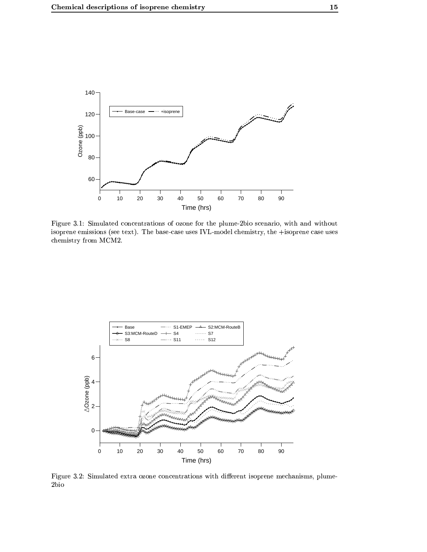

Figure 3.1: Simulated concentrations of ozone for the plume-2bio scenario, with and without isoprene emissions (see text). The base-case uses IVL-model chemistry, the +isoprene case uses chemistry from MCM2.



Figure 3.2: Simulated extra ozone concentrations with different isoprene mechanisms, plume- $2{\rm bio}$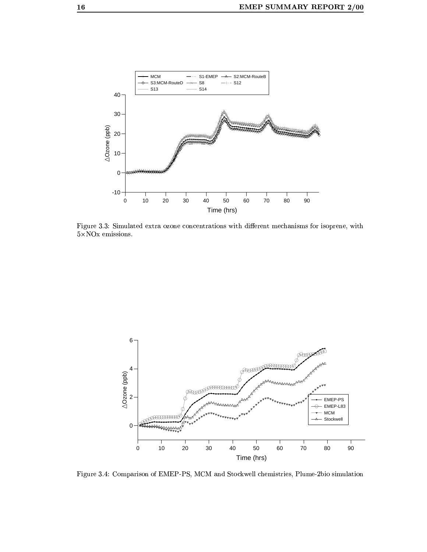

Figure 3.3: Simulated extra ozone concentrations with different mechanisms for isoprene, with 5×NO<sub>x</sub> emissions.



Figure 3.4: Comparison of EMEP-PS, MCM and Stockwell chemistries, Plume-2bio simulation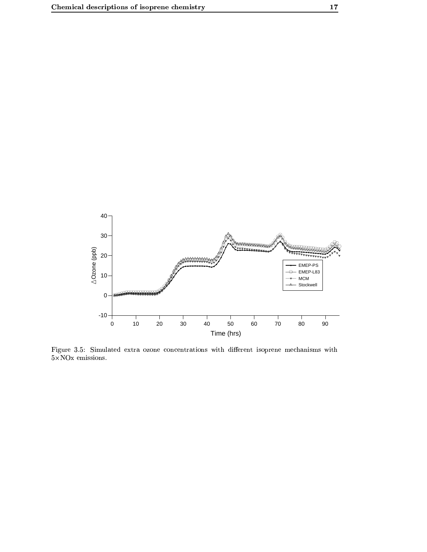

Figure 3.5: Simulated extra ozone concentrations with different isoprene mechanisms with  $5{\times} \text{NOx}$  emissions.